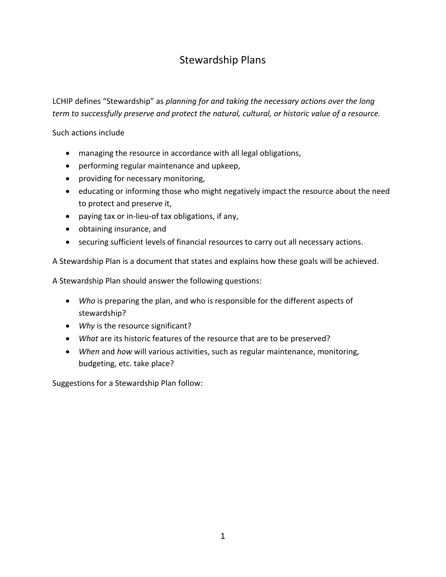# Stewardship Plans

LCHIP defines "Stewardship" as *planning for and taking the necessary actions over the long term to successfully preserve and protect the natural, cultural, or historic value of a resource.* 

Such actions include

- managing the resource in accordance with all legal obligations,
- performing regular maintenance and upkeep,
- providing for necessary monitoring,
- educating or informing those who might negatively impact the resource about the need to protect and preserve it,
- paying tax or in-lieu-of tax obligations, if any,
- obtaining insurance, and
- securing sufficient levels of financial resources to carry out all necessary actions.

A Stewardship Plan is a document that states and explains how these goals will be achieved.

A Stewardship Plan should answer the following questions:

- *Who* is preparing the plan, and who is responsible for the different aspects of stewardship?
- *Why* is the resource significant?
- *What* are its historic features of the resource that are to be preserved?
- *When* and *how* will various activities, such as regular maintenance, monitoring, budgeting, etc. take place?

Suggestions for a Stewardship Plan follow: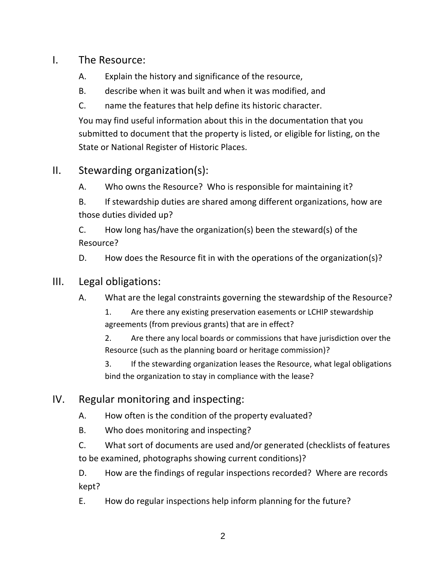#### I. The Resource:

- A. Explain the history and significance of the resource,
- B. describe when it was built and when it was modified, and
- C. name the features that help define its historic character.

You may find useful information about this in the documentation that you submitted to document that the property is listed, or eligible for listing, on the State or National Register of Historic Places.

# II. Stewarding organization(s):

A. Who owns the Resource? Who is responsible for maintaining it?

B. If stewardship duties are shared among different organizations, how are those duties divided up?

C. How long has/have the organization(s) been the steward(s) of the Resource?

D. How does the Resource fit in with the operations of the organization(s)?

## III. Legal obligations:

A. What are the legal constraints governing the stewardship of the Resource?

1. Are there any existing preservation easements or LCHIP stewardship agreements (from previous grants) that are in effect?

2. Are there any local boards or commissions that have jurisdiction over the Resource (such as the planning board or heritage commission)?

3. If the stewarding organization leases the Resource, what legal obligations bind the organization to stay in compliance with the lease?

- IV. Regular monitoring and inspecting:
	- A. How often is the condition of the property evaluated?
	- B. Who does monitoring and inspecting?

C. What sort of documents are used and/or generated (checklists of features to be examined, photographs showing current conditions)?

D. How are the findings of regular inspections recorded? Where are records kept?

E. How do regular inspections help inform planning for the future?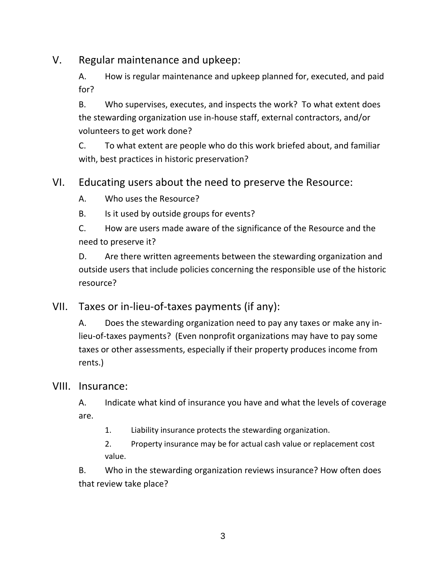# V. Regular maintenance and upkeep:

A. How is regular maintenance and upkeep planned for, executed, and paid for?

B. Who supervises, executes, and inspects the work? To what extent does the stewarding organization use in-house staff, external contractors, and/or volunteers to get work done?

C. To what extent are people who do this work briefed about, and familiar with, best practices in historic preservation?

## VI. Educating users about the need to preserve the Resource:

A. Who uses the Resource?

B. Is it used by outside groups for events?

C. How are users made aware of the significance of the Resource and the need to preserve it?

D. Are there written agreements between the stewarding organization and outside users that include policies concerning the responsible use of the historic resource?

VII. Taxes or in-lieu-of-taxes payments (if any):

A. Does the stewarding organization need to pay any taxes or make any inlieu-of-taxes payments? (Even nonprofit organizations may have to pay some taxes or other assessments, especially if their property produces income from rents.)

#### VIII. Insurance:

A. Indicate what kind of insurance you have and what the levels of coverage are.

1. Liability insurance protects the stewarding organization.

2. Property insurance may be for actual cash value or replacement cost value.

B. Who in the stewarding organization reviews insurance? How often does that review take place?